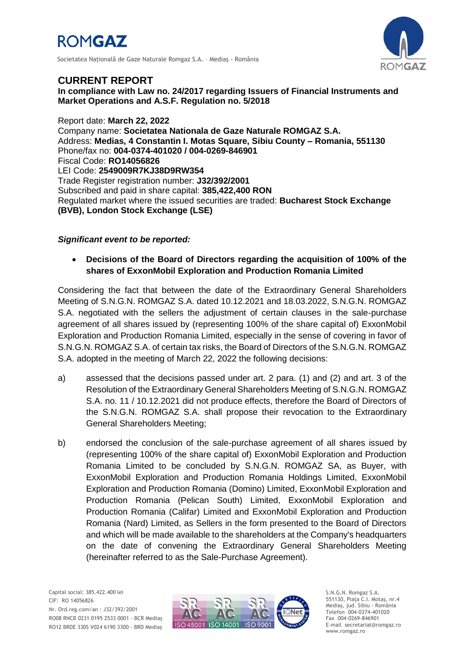

Societatea Naţională de Gaze Naturale Romgaz S.A. – Mediaş - România



## **CURRENT REPORT**

**In compliance with Law no. 24/2017 regarding Issuers of Financial Instruments and Market Operations and A.S.F. Regulation no. 5/2018**

Report date: **March 22, 2022** Company name: **Societatea Nationala de Gaze Naturale ROMGAZ S.A.** Address: **Medias, 4 Constantin I. Motas Square, Sibiu County – Romania, 551130** Phone/fax no: **004-0374-401020 / 004-0269-846901** Fiscal Code: **RO14056826** LEI Code: **2549009R7KJ38D9RW354** Trade Register registration number: **J32/392/2001** Subscribed and paid in share capital: **385,422,400 RON** Regulated market where the issued securities are traded: **Bucharest Stock Exchange (BVB), London Stock Exchange (LSE)**

## *Significant event to be reported:*

 **Decisions of the Board of Directors regarding the acquisition of 100% of the shares of ExxonMobil Exploration and Production Romania Limited**

Considering the fact that between the date of the Extraordinary General Shareholders Meeting of S.N.G.N. ROMGAZ S.A. dated 10.12.2021 and 18.03.2022, S.N.G.N. ROMGAZ S.A. negotiated with the sellers the adjustment of certain clauses in the sale-purchase agreement of all shares issued by (representing 100% of the share capital of) ExxonMobil Exploration and Production Romania Limited, especially in the sense of covering in favor of S.N.G.N. ROMGAZ S.A. of certain tax risks, the Board of Directors of the S.N.G.N. ROMGAZ S.A. adopted in the meeting of March 22, 2022 the following decisions:

- a) assessed that the decisions passed under art. 2 para. (1) and (2) and art. 3 of the Resolution of the Extraordinary General Shareholders Meeting of S.N.G.N. ROMGAZ S.A. no. 11 / 10.12.2021 did not produce effects, therefore the Board of Directors of the S.N.G.N. ROMGAZ S.A. shall propose their revocation to the Extraordinary General Shareholders Meeting;
- b) endorsed the conclusion of the sale-purchase agreement of all shares issued by (representing 100% of the share capital of) ExxonMobil Exploration and Production Romania Limited to be concluded by S.N.G.N. ROMGAZ SA, as Buyer, with ExxonMobil Exploration and Production Romania Holdings Limited, ExxonMobil Exploration and Production Romania (Domino) Limited, ExxonMobil Exploration and Production Romania (Pelican South) Limited, ExxonMobil Exploration and Production Romania (Califar) Limited and ExxonMobil Exploration and Production Romania (Nard) Limited, as Sellers in the form presented to the Board of Directors and which will be made available to the shareholders at the Company's headquarters on the date of convening the Extraordinary General Shareholders Meeting (hereinafter referred to as the Sale-Purchase Agreement).



S.N.G.N. Romgaz S.A. 551130, Piața C.I. Motaş, nr.4 Mediaş, jud. Sibiu - România Telefon 004-0374-401020 Fax 004-0269-846901 E-mail secretariat@romgaz.ro www.romgaz.ro